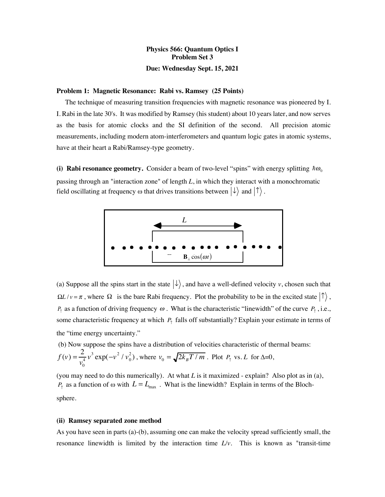# **Physics 566: Quantum Optics I Problem Set 3 Due: Wednesday Sept. 15, 2021**

#### **Problem 1: Magnetic Resonance: Rabi vs. Ramsey (25 Points)**

 The technique of measuring transition frequencies with magnetic resonance was pioneered by I. I. Rabi in the late 30's. It was modified by Ramsey (his student) about 10 years later, and now serves as the basis for atomic clocks and the SI definition of the second. All precision atomic measurements, including modern atom-interferometers and quantum logic gates in atomic systems, have at their heart a Rabi/Ramsey-type geometry.

(i) **Rabi resonance geometry.** Consider a beam of two-level "spins" with energy splitting  $\hbar\omega_0$ passing through an "interaction zone" of length *L*, in which they interact with a monochromatic field oscillating at frequency  $\omega$  that drives transitions between  $|\downarrow\rangle$  and  $|\uparrow\rangle$ .



(a) Suppose all the spins start in the state  $|\downarrow\rangle$ , and have a well-defined velocity *v*, chosen such that  $\Omega L / v = \pi$ , where  $\Omega$  is the bare Rabi frequency. Plot the probability to be in the excited state  $|\uparrow\rangle$ ,  $P_{\uparrow}$  as a function of driving frequency  $\omega$ . What is the characteristic "linewidth" of the curve  $P_{\uparrow}$ , i.e., some characteristic frequency at which  $P_{\uparrow}$  falls off substantially? Explain your estimate in terms of the "time energy uncertainty."

(b) Now suppose the spins have a distribution of velocities characteristic of thermal beams:

$$
f(v) = \frac{2}{v_0^4} v^3 \exp(-v^2/v_0^2)
$$
, where  $v_0 = \sqrt{2k_B T/m}$ . Plot  $P_\uparrow$  vs. L for  $\Delta = 0$ ,

(you may need to do this numerically)*.* At what *L* is it maximized - explain? Also plot as in (a),  $P_{\uparrow}$  as a function of  $\omega$  with  $L = L_{\text{max}}$ . What is the linewidth? Explain in terms of the Blochsphere.

#### **(ii) Ramsey separated zone method**

As you have seen in parts (a)-(b), assuming one can make the velocity spread sufficiently small, the resonance linewidth is limited by the interaction time *L/v*. This is known as "transit-time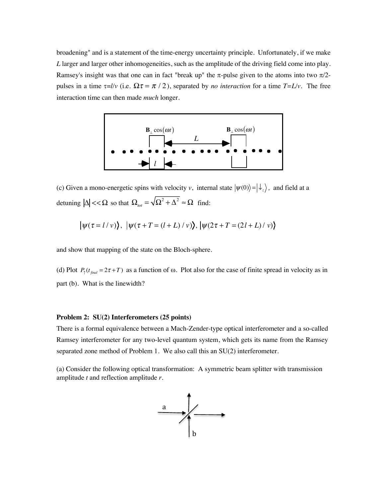broadening" and is a statement of the time-energy uncertainty principle. Unfortunately, if we make *L* larger and larger other inhomogeneities, such as the amplitude of the driving field come into play. Ramsey's insight was that one can in fact "break up" the  $\pi$ -pulse given to the atoms into two  $\pi/2$ pulses in a time  $\tau = l/v$  (i.e.  $\Omega \tau = \pi / 2$ ), separated by *no interaction* for a time  $T = L/v$ . The free interaction time can then made *much* longer.



(c) Given a mono-energetic spins with velocity *v*, internal state  $|\psi(0)\rangle = |\psi_z\rangle$ , and field at a detuning  $|\Delta| << \Omega$  so that  $\Omega_{tot} = \sqrt{\Omega^2 + \Delta^2} \approx \Omega$  find:

$$
|\psi(\tau = l/v)\rangle, |\psi(\tau + T = (l + L)/v)\rangle, |\psi(2\tau + T = (2l + L)/v)\rangle
$$

and show that mapping of the state on the Bloch-sphere.

(d) Plot  $P_{\uparrow}(t_{\text{final}} = 2\tau + T)$  as a function of  $\omega$ . Plot also for the case of finite spread in velocity as in part (b). What is the linewidth?

### **Problem 2: SU(2) Interferometers (25 points)**

There is a formal equivalence between a Mach-Zender-type optical interferometer and a so-called Ramsey interferometer for any two-level quantum system, which gets its name from the Ramsey separated zone method of Problem 1. We also call this an SU(2) interferometer.

(a) Consider the following optical transformation: A symmetric beam splitter with transmission amplitude *t* and reflection amplitude *r*.

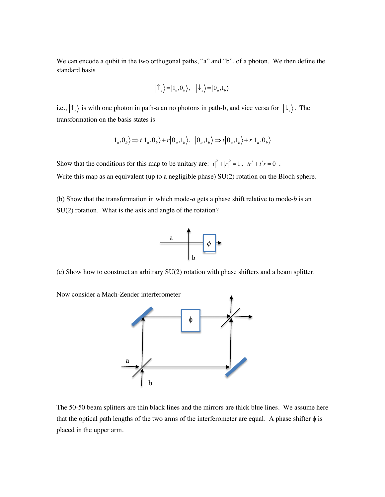We can encode a qubit in the two orthogonal paths, "a" and "b", of a photon. We then define the standard basis

$$
|\uparrow_z\rangle = |1_a, 0_b\rangle, \quad |\downarrow_z\rangle = |0_a, 1_b\rangle
$$

i.e.,  $|\uparrow_z\rangle$  is with one photon in path-a an no photons in path-b, and vice versa for  $|\downarrow_z\rangle$ . The transformation on the basis states is

$$
|1_a,0_b\rangle \Longrightarrow t |1_a,0_b\rangle + r |0_a,1_b\rangle, |0_a,1_b\rangle \Longrightarrow t |0_a,1_b\rangle + r |1_a,0_b\rangle
$$

Show that the conditions for this map to be unitary are:  $|t|^2 + |r|^2 = 1$ ,  $tr^* + t^*r = 0$ . Write this map as an equivalent (up to a negligible phase) SU(2) rotation on the Bloch sphere.

(b) Show that the transformation in which mode-*a* gets a phase shift relative to mode-*b* is an SU(2) rotation. What is the axis and angle of the rotation?



(c) Show how to construct an arbitrary SU(2) rotation with phase shifters and a beam splitter.

Now consider a Mach-Zender interferometer



The 50-50 beam splitters are thin black lines and the mirrors are thick blue lines. We assume here that the optical path lengths of the two arms of the interferometer are equal. A phase shifter  $\phi$  is placed in the upper arm.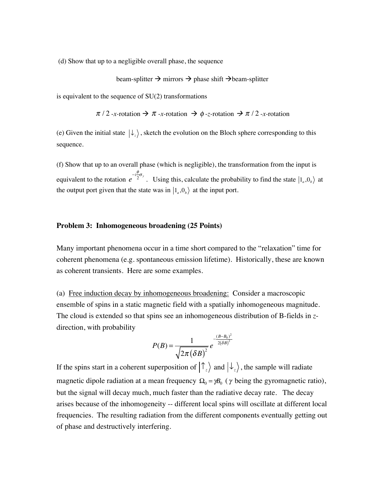(d) Show that up to a negligible overall phase, the sequence

beam-splitter  $\rightarrow$  mirrors  $\rightarrow$  phase shift  $\rightarrow$  beam-splitter

is equivalent to the sequence of SU(2) transformations

 $\pi$  / 2 -*x*-rotation  $\rightarrow \pi$  -*x*-rotation  $\rightarrow \phi$  -*z*-rotation  $\rightarrow \pi$  / 2 -*x*-rotation

(e) Given the initial state  $|\downarrow_z\rangle$ , sketch the evolution on the Bloch sphere corresponding to this sequence.

(f) Show that up to an overall phase (which is negligible), the transformation from the input is equivalent to the rotation  $e^{-i\frac{\phi}{2}\sigma_y}$ . Using this, calculate the probability to find the state  $|1_a,0_b\rangle$  at the output port given that the state was in  $|1_a, 0_b\rangle$  at the input port.  $\overline{2}^{\sigma_y}$ . Using this, calculate the probability to find the state  $|1_a, 0_b\rangle$ 

## **Problem 3: Inhomogeneous broadening (25 Points)**

Many important phenomena occur in a time short compared to the "relaxation" time for coherent phenomena (e.g. spontaneous emission lifetime). Historically, these are known as coherent transients. Here are some examples.

(a) Free induction decay by inhomogeneous broadening: Consider a macroscopic ensemble of spins in a static magnetic field with a spatially inhomogeneous magnitude. The cloud is extended so that spins see an inhomogeneous distribution of B-fields in *z*direction, with probability

$$
P(B) = \frac{1}{\sqrt{2\pi (\delta B)^2}} e^{-\frac{(B-B_0)^2}{2(\delta B)^2}}
$$

If the spins start in a coherent superposition of  $|\mathcal{T}_z\rangle$  and  $|\mathcal{L}_z\rangle$ , the sample will radiate magnetic dipole radiation at a mean frequency  $\Omega_0 = \gamma B_0$  ( $\gamma$  being the gyromagnetic ratio), but the signal will decay much, much faster than the radiative decay rate. The decay arises because of the inhomogeneity -- different local spins will oscillate at different local frequencies. The resulting radiation from the different components eventually getting out of phase and destructively interfering.